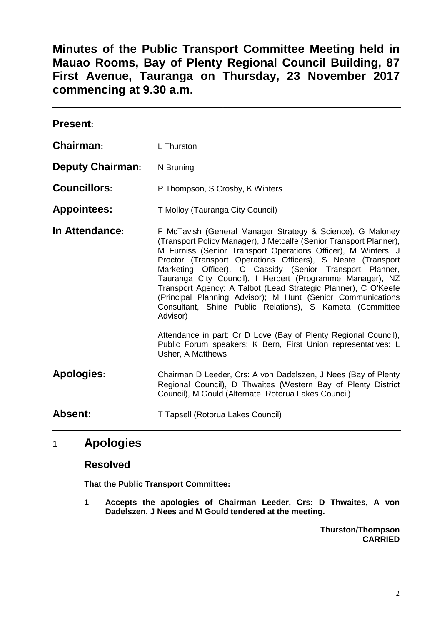**Minutes of the Public Transport Committee Meeting held in Mauao Rooms, Bay of Plenty Regional Council Building, 87 First Avenue, Tauranga on Thursday, 23 November 2017 commencing at 9.30 a.m.**

| <b>Present:</b>         |                                                                                                                                                                                                                                                                                                                                                                                                                                                                                                                                                                                                                                                                                                                                                                    |
|-------------------------|--------------------------------------------------------------------------------------------------------------------------------------------------------------------------------------------------------------------------------------------------------------------------------------------------------------------------------------------------------------------------------------------------------------------------------------------------------------------------------------------------------------------------------------------------------------------------------------------------------------------------------------------------------------------------------------------------------------------------------------------------------------------|
| Chairman:               | L Thurston                                                                                                                                                                                                                                                                                                                                                                                                                                                                                                                                                                                                                                                                                                                                                         |
| <b>Deputy Chairman:</b> | N Bruning                                                                                                                                                                                                                                                                                                                                                                                                                                                                                                                                                                                                                                                                                                                                                          |
| <b>Councillors:</b>     | P Thompson, S Crosby, K Winters                                                                                                                                                                                                                                                                                                                                                                                                                                                                                                                                                                                                                                                                                                                                    |
| <b>Appointees:</b>      | T Molloy (Tauranga City Council)                                                                                                                                                                                                                                                                                                                                                                                                                                                                                                                                                                                                                                                                                                                                   |
| In Attendance:          | F McTavish (General Manager Strategy & Science), G Maloney<br>(Transport Policy Manager), J Metcalfe (Senior Transport Planner),<br>M Furniss (Senior Transport Operations Officer), M Winters, J<br>Proctor (Transport Operations Officers), S Neate (Transport<br>Marketing Officer), C Cassidy (Senior Transport Planner,<br>Tauranga City Council), I Herbert (Programme Manager), NZ<br>Transport Agency: A Talbot (Lead Strategic Planner), C O'Keefe<br>(Principal Planning Advisor); M Hunt (Senior Communications<br>Consultant, Shine Public Relations), S Kameta (Committee<br>Advisor)<br>Attendance in part: Cr D Love (Bay of Plenty Regional Council),<br>Public Forum speakers: K Bern, First Union representatives: L<br><b>Usher, A Matthews</b> |
| <b>Apologies:</b>       | Chairman D Leeder, Crs: A von Dadelszen, J Nees (Bay of Plenty<br>Regional Council), D Thwaites (Western Bay of Plenty District<br>Council), M Gould (Alternate, Rotorua Lakes Council)                                                                                                                                                                                                                                                                                                                                                                                                                                                                                                                                                                            |
| <b>Absent:</b>          | T Tapsell (Rotorua Lakes Council)                                                                                                                                                                                                                                                                                                                                                                                                                                                                                                                                                                                                                                                                                                                                  |

# 1 **Apologies**

#### **Resolved**

**That the Public Transport Committee:**

**1 Accepts the apologies of Chairman Leeder, Crs: D Thwaites, A von Dadelszen, J Nees and M Gould tendered at the meeting.**

> **Thurston/Thompson CARRIED**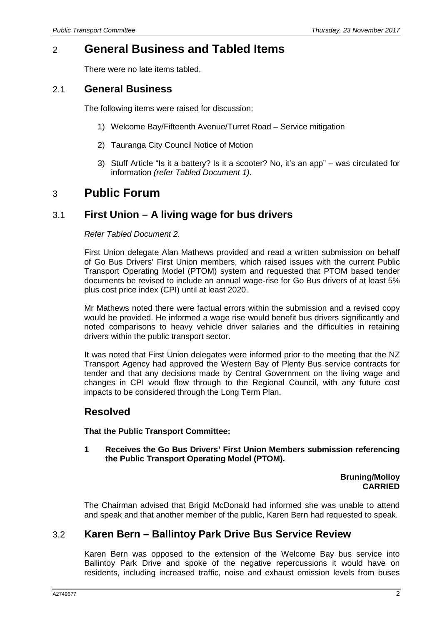## 2 **General Business and Tabled Items**

There were no late items tabled.

#### 2.1 **General Business**

The following items were raised for discussion:

- 1) Welcome Bay/Fifteenth Avenue/Turret Road Service mitigation
- 2) Tauranga City Council Notice of Motion
- 3) Stuff Article "Is it a battery? Is it a scooter? No, it's an app" was circulated for information *(refer Tabled Document 1)*.

## 3 **Public Forum**

### 3.1 **First Union – A living wage for bus drivers**

#### *Refer Tabled Document 2.*

First Union delegate Alan Mathews provided and read a written submission on behalf of Go Bus Drivers' First Union members, which raised issues with the current Public Transport Operating Model (PTOM) system and requested that PTOM based tender documents be revised to include an annual wage-rise for Go Bus drivers of at least 5% plus cost price index (CPI) until at least 2020.

Mr Mathews noted there were factual errors within the submission and a revised copy would be provided. He informed a wage rise would benefit bus drivers significantly and noted comparisons to heavy vehicle driver salaries and the difficulties in retaining drivers within the public transport sector.

It was noted that First Union delegates were informed prior to the meeting that the NZ Transport Agency had approved the Western Bay of Plenty Bus service contracts for tender and that any decisions made by Central Government on the living wage and changes in CPI would flow through to the Regional Council, with any future cost impacts to be considered through the Long Term Plan.

### **Resolved**

**That the Public Transport Committee:**

**1 Receives the Go Bus Drivers' First Union Members submission referencing the Public Transport Operating Model (PTOM).**

> **Bruning/Molloy CARRIED**

The Chairman advised that Brigid McDonald had informed she was unable to attend and speak and that another member of the public, Karen Bern had requested to speak.

### 3.2 **Karen Bern – Ballintoy Park Drive Bus Service Review**

Karen Bern was opposed to the extension of the Welcome Bay bus service into Ballintoy Park Drive and spoke of the negative repercussions it would have on residents, including increased traffic, noise and exhaust emission levels from buses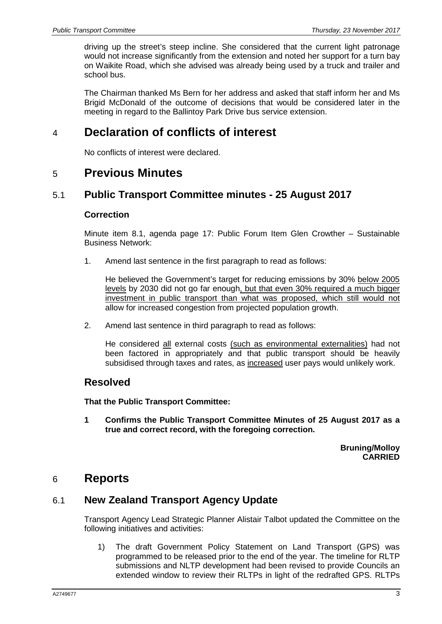driving up the street's steep incline. She considered that the current light patronage would not increase significantly from the extension and noted her support for a turn bay on Waikite Road, which she advised was already being used by a truck and trailer and school bus.

The Chairman thanked Ms Bern for her address and asked that staff inform her and Ms Brigid McDonald of the outcome of decisions that would be considered later in the meeting in regard to the Ballintoy Park Drive bus service extension.

## 4 **Declaration of conflicts of interest**

No conflicts of interest were declared.

### 5 **Previous Minutes**

#### 5.1 **Public Transport Committee minutes - 25 August 2017**

#### **Correction**

Minute item 8.1, agenda page 17: Public Forum Item Glen Crowther – Sustainable Business Network:

1. Amend last sentence in the first paragraph to read as follows:

He believed the Government's target for reducing emissions by 30% below 2005 levels by 2030 did not go far enough, but that even 30% required a much bigger investment in public transport than what was proposed, which still would not allow for increased congestion from projected population growth.

2. Amend last sentence in third paragraph to read as follows:

He considered all external costs (such as environmental externalities) had not been factored in appropriately and that public transport should be heavily subsidised through taxes and rates, as increased user pays would unlikely work.

#### **Resolved**

**That the Public Transport Committee:**

**1 Confirms the Public Transport Committee Minutes of 25 August 2017 as a true and correct record, with the foregoing correction.**

> **Bruning/Molloy CARRIED**

## 6 **Reports**

#### 6.1 **New Zealand Transport Agency Update**

Transport Agency Lead Strategic Planner Alistair Talbot updated the Committee on the following initiatives and activities:

1) The draft Government Policy Statement on Land Transport (GPS) was programmed to be released prior to the end of the year. The timeline for RLTP submissions and NLTP development had been revised to provide Councils an extended window to review their RLTPs in light of the redrafted GPS. RLTPs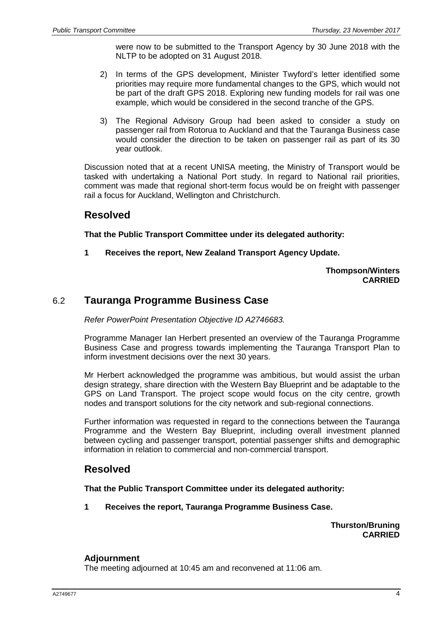were now to be submitted to the Transport Agency by 30 June 2018 with the NLTP to be adopted on 31 August 2018.

- 2) In terms of the GPS development, Minister Twyford's letter identified some priorities may require more fundamental changes to the GPS, which would not be part of the draft GPS 2018. Exploring new funding models for rail was one example, which would be considered in the second tranche of the GPS.
- 3) The Regional Advisory Group had been asked to consider a study on passenger rail from Rotorua to Auckland and that the Tauranga Business case would consider the direction to be taken on passenger rail as part of its 30 year outlook.

Discussion noted that at a recent UNISA meeting, the Ministry of Transport would be tasked with undertaking a National Port study. In regard to National rail priorities, comment was made that regional short-term focus would be on freight with passenger rail a focus for Auckland, Wellington and Christchurch.

### **Resolved**

**That the Public Transport Committee under its delegated authority:**

**1 Receives the report, New Zealand Transport Agency Update.**

**Thompson/Winters CARRIED**

### 6.2 **Tauranga Programme Business Case**

*Refer PowerPoint Presentation Objective ID A2746683.*

Programme Manager Ian Herbert presented an overview of the Tauranga Programme Business Case and progress towards implementing the Tauranga Transport Plan to inform investment decisions over the next 30 years.

Mr Herbert acknowledged the programme was ambitious, but would assist the urban design strategy, share direction with the Western Bay Blueprint and be adaptable to the GPS on Land Transport. The project scope would focus on the city centre, growth nodes and transport solutions for the city network and sub-regional connections.

Further information was requested in regard to the connections between the Tauranga Programme and the Western Bay Blueprint, including overall investment planned between cycling and passenger transport, potential passenger shifts and demographic information in relation to commercial and non-commercial transport.

### **Resolved**

**That the Public Transport Committee under its delegated authority:**

**1 Receives the report, Tauranga Programme Business Case.**

**Thurston/Bruning CARRIED**

#### **Adjournment**

The meeting adjourned at 10:45 am and reconvened at 11:06 am.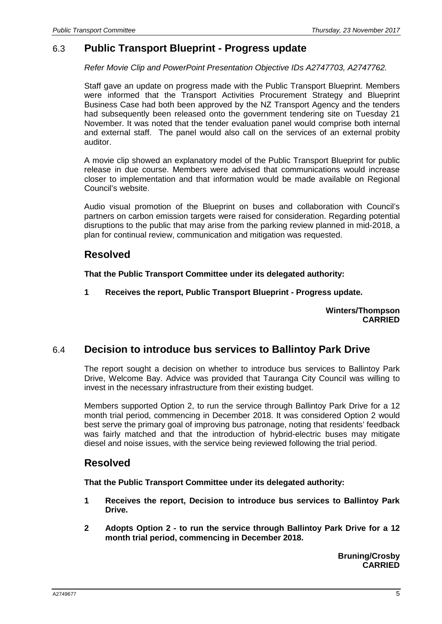### 6.3 **Public Transport Blueprint - Progress update**

*Refer Movie Clip and PowerPoint Presentation Objective IDs A2747703, A2747762.*

Staff gave an update on progress made with the Public Transport Blueprint. Members were informed that the Transport Activities Procurement Strategy and Blueprint Business Case had both been approved by the NZ Transport Agency and the tenders had subsequently been released onto the government tendering site on Tuesday 21 November. It was noted that the tender evaluation panel would comprise both internal and external staff. The panel would also call on the services of an external probity auditor.

A movie clip showed an explanatory model of the Public Transport Blueprint for public release in due course. Members were advised that communications would increase closer to implementation and that information would be made available on Regional Council's website.

Audio visual promotion of the Blueprint on buses and collaboration with Council's partners on carbon emission targets were raised for consideration. Regarding potential disruptions to the public that may arise from the parking review planned in mid-2018, a plan for continual review, communication and mitigation was requested.

#### **Resolved**

**That the Public Transport Committee under its delegated authority:**

**1 Receives the report, Public Transport Blueprint - Progress update.**

**Winters/Thompson CARRIED**

### 6.4 **Decision to introduce bus services to Ballintoy Park Drive**

The report sought a decision on whether to introduce bus services to Ballintoy Park Drive, Welcome Bay. Advice was provided that Tauranga City Council was willing to invest in the necessary infrastructure from their existing budget.

Members supported Option 2, to run the service through Ballintoy Park Drive for a 12 month trial period, commencing in December 2018. It was considered Option 2 would best serve the primary goal of improving bus patronage, noting that residents' feedback was fairly matched and that the introduction of hybrid-electric buses may mitigate diesel and noise issues, with the service being reviewed following the trial period.

### **Resolved**

**That the Public Transport Committee under its delegated authority:**

- **1 Receives the report, Decision to introduce bus services to Ballintoy Park Drive.**
- **2 Adopts Option 2 - to run the service through Ballintoy Park Drive for a 12 month trial period, commencing in December 2018.**

**Bruning/Crosby CARRIED**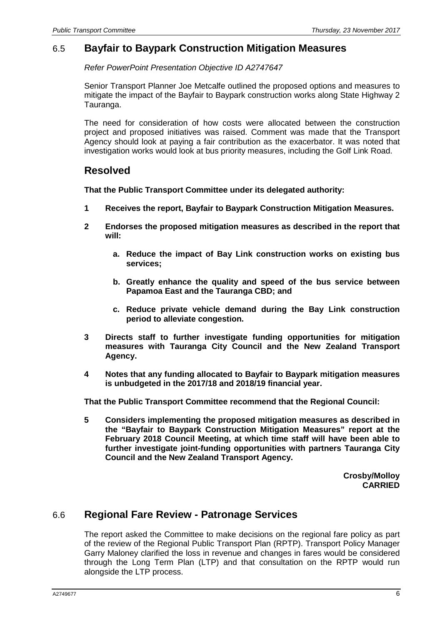### 6.5 **Bayfair to Baypark Construction Mitigation Measures**

*Refer PowerPoint Presentation Objective ID A2747647*

Senior Transport Planner Joe Metcalfe outlined the proposed options and measures to mitigate the impact of the Bayfair to Baypark construction works along State Highway 2 Tauranga.

The need for consideration of how costs were allocated between the construction project and proposed initiatives was raised. Comment was made that the Transport Agency should look at paying a fair contribution as the exacerbator. It was noted that investigation works would look at bus priority measures, including the Golf Link Road.

#### **Resolved**

**That the Public Transport Committee under its delegated authority:**

- **1 Receives the report, Bayfair to Baypark Construction Mitigation Measures.**
- **2 Endorses the proposed mitigation measures as described in the report that will:**
	- **a. Reduce the impact of Bay Link construction works on existing bus services;**
	- **b. Greatly enhance the quality and speed of the bus service between Papamoa East and the Tauranga CBD; and**
	- **c. Reduce private vehicle demand during the Bay Link construction period to alleviate congestion.**
- **3 Directs staff to further investigate funding opportunities for mitigation measures with Tauranga City Council and the New Zealand Transport Agency.**
- **4 Notes that any funding allocated to Bayfair to Baypark mitigation measures is unbudgeted in the 2017/18 and 2018/19 financial year.**

**That the Public Transport Committee recommend that the Regional Council:**

**5 Considers implementing the proposed mitigation measures as described in the "Bayfair to Baypark Construction Mitigation Measures" report at the February 2018 Council Meeting, at which time staff will have been able to further investigate joint-funding opportunities with partners Tauranga City Council and the New Zealand Transport Agency.**

> **Crosby/Molloy CARRIED**

### 6.6 **Regional Fare Review - Patronage Services**

The report asked the Committee to make decisions on the regional fare policy as part of the review of the Regional Public Transport Plan (RPTP). Transport Policy Manager Garry Maloney clarified the loss in revenue and changes in fares would be considered through the Long Term Plan (LTP) and that consultation on the RPTP would run alongside the LTP process.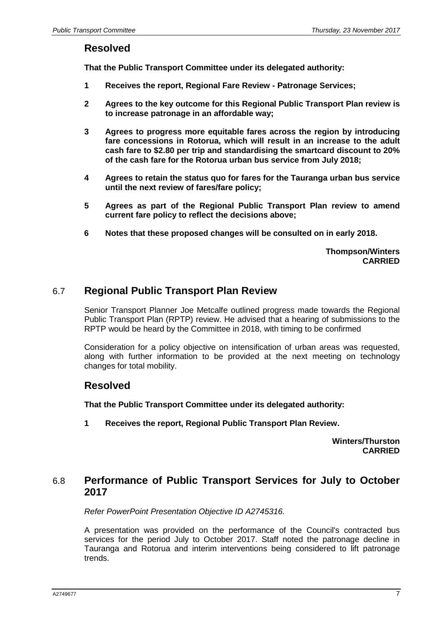#### **Resolved**

**That the Public Transport Committee under its delegated authority:**

- **1 Receives the report, Regional Fare Review - Patronage Services;**
- **2 Agrees to the key outcome for this Regional Public Transport Plan review is to increase patronage in an affordable way;**
- **3 Agrees to progress more equitable fares across the region by introducing fare concessions in Rotorua, which will result in an increase to the adult cash fare to \$2.80 per trip and standardising the smartcard discount to 20% of the cash fare for the Rotorua urban bus service from July 2018;**
- **4 Agrees to retain the status quo for fares for the Tauranga urban bus service until the next review of fares/fare policy;**
- **5 Agrees as part of the Regional Public Transport Plan review to amend current fare policy to reflect the decisions above;**
- **6 Notes that these proposed changes will be consulted on in early 2018.**

**Thompson/Winters CARRIED**

### 6.7 **Regional Public Transport Plan Review**

Senior Transport Planner Joe Metcalfe outlined progress made towards the Regional Public Transport Plan (RPTP) review. He advised that a hearing of submissions to the RPTP would be heard by the Committee in 2018, with timing to be confirmed

Consideration for a policy objective on intensification of urban areas was requested, along with further information to be provided at the next meeting on technology changes for total mobility.

### **Resolved**

**That the Public Transport Committee under its delegated authority:**

**1 Receives the report, Regional Public Transport Plan Review.** 

**Winters/Thurston CARRIED**

#### 6.8 **Performance of Public Transport Services for July to October 2017**

*Refer PowerPoint Presentation Objective ID A2745316.*

A presentation was provided on the performance of the Council's contracted bus services for the period July to October 2017. Staff noted the patronage decline in Tauranga and Rotorua and interim interventions being considered to lift patronage trends.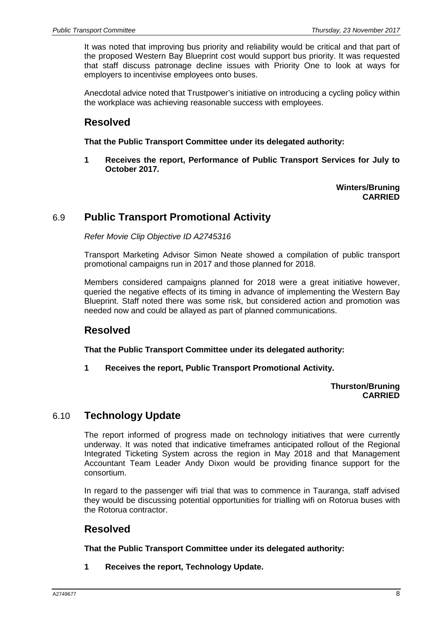It was noted that improving bus priority and reliability would be critical and that part of the proposed Western Bay Blueprint cost would support bus priority. It was requested that staff discuss patronage decline issues with Priority One to look at ways for employers to incentivise employees onto buses.

Anecdotal advice noted that Trustpower's initiative on introducing a cycling policy within the workplace was achieving reasonable success with employees.

### **Resolved**

**That the Public Transport Committee under its delegated authority:**

**1 Receives the report, Performance of Public Transport Services for July to October 2017.**

> **Winters/Bruning CARRIED**

### 6.9 **Public Transport Promotional Activity**

*Refer Movie Clip Objective ID A2745316*

Transport Marketing Advisor Simon Neate showed a compilation of public transport promotional campaigns run in 2017 and those planned for 2018.

Members considered campaigns planned for 2018 were a great initiative however, queried the negative effects of its timing in advance of implementing the Western Bay Blueprint. Staff noted there was some risk, but considered action and promotion was needed now and could be allayed as part of planned communications.

### **Resolved**

**That the Public Transport Committee under its delegated authority:**

**1 Receives the report, Public Transport Promotional Activity.** 

#### **Thurston/Bruning CARRIED**

### 6.10 **Technology Update**

The report informed of progress made on technology initiatives that were currently underway. It was noted that indicative timeframes anticipated rollout of the Regional Integrated Ticketing System across the region in May 2018 and that Management Accountant Team Leader Andy Dixon would be providing finance support for the consortium.

In regard to the passenger wifi trial that was to commence in Tauranga, staff advised they would be discussing potential opportunities for trialling wifi on Rotorua buses with the Rotorua contractor.

### **Resolved**

**That the Public Transport Committee under its delegated authority:**

**1 Receives the report, Technology Update.**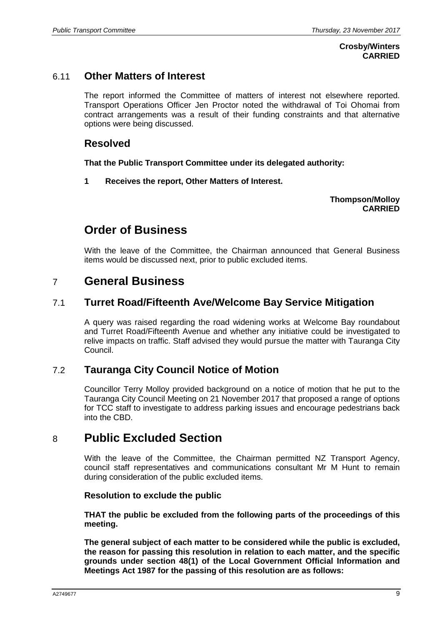#### **Crosby/Winters CARRIED**

### 6.11 **Other Matters of Interest**

The report informed the Committee of matters of interest not elsewhere reported. Transport Operations Officer Jen Proctor noted the withdrawal of Toi Ohomai from contract arrangements was a result of their funding constraints and that alternative options were being discussed.

### **Resolved**

**That the Public Transport Committee under its delegated authority:**

**1 Receives the report, Other Matters of Interest.** 

**Thompson/Molloy CARRIED**

## **Order of Business**

With the leave of the Committee, the Chairman announced that General Business items would be discussed next, prior to public excluded items.

## 7 **General Business**

### 7.1 **Turret Road/Fifteenth Ave/Welcome Bay Service Mitigation**

A query was raised regarding the road widening works at Welcome Bay roundabout and Turret Road/Fifteenth Avenue and whether any initiative could be investigated to relive impacts on traffic. Staff advised they would pursue the matter with Tauranga City Council.

### 7.2 **Tauranga City Council Notice of Motion**

Councillor Terry Molloy provided background on a notice of motion that he put to the Tauranga City Council Meeting on 21 November 2017 that proposed a range of options for TCC staff to investigate to address parking issues and encourage pedestrians back into the CBD.

## 8 **Public Excluded Section**

With the leave of the Committee, the Chairman permitted NZ Transport Agency, council staff representatives and communications consultant Mr M Hunt to remain during consideration of the public excluded items.

#### **Resolution to exclude the public**

**THAT the public be excluded from the following parts of the proceedings of this meeting.**

**The general subject of each matter to be considered while the public is excluded, the reason for passing this resolution in relation to each matter, and the specific grounds under section 48(1) of the Local Government Official Information and Meetings Act 1987 for the passing of this resolution are as follows:**